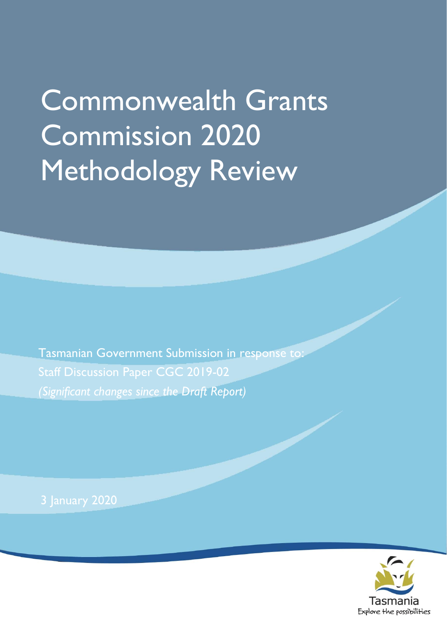# Commonwealth Grants Commission 2020 Methodology Review

Tasmanian Government Submission in response to: Staff Discussion Paper CGC 2019-02 *(Significant changes since the Draft Report)*

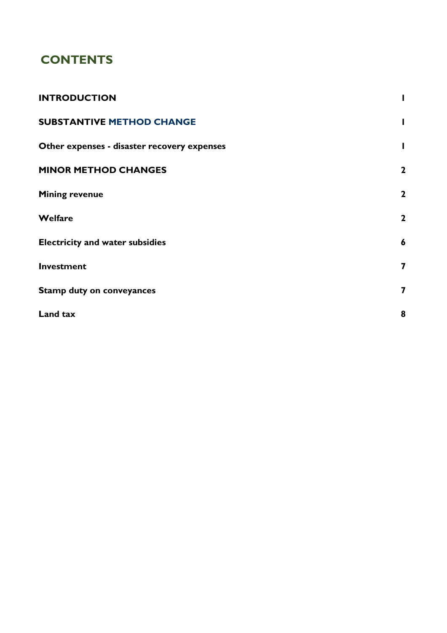### **CONTENTS**

| <b>INTRODUCTION</b>                         |                         |
|---------------------------------------------|-------------------------|
| <b>SUBSTANTIVE METHOD CHANGE</b>            | L                       |
| Other expenses - disaster recovery expenses | L                       |
| <b>MINOR METHOD CHANGES</b>                 | $\mathbf{2}$            |
| <b>Mining revenue</b>                       | $\mathbf{2}$            |
| Welfare                                     | $\mathbf{2}$            |
| <b>Electricity and water subsidies</b>      | $\boldsymbol{6}$        |
| Investment                                  | $\overline{\mathbf{z}}$ |
| <b>Stamp duty on conveyances</b>            | $\overline{\mathbf{z}}$ |
| Land tax                                    | 8                       |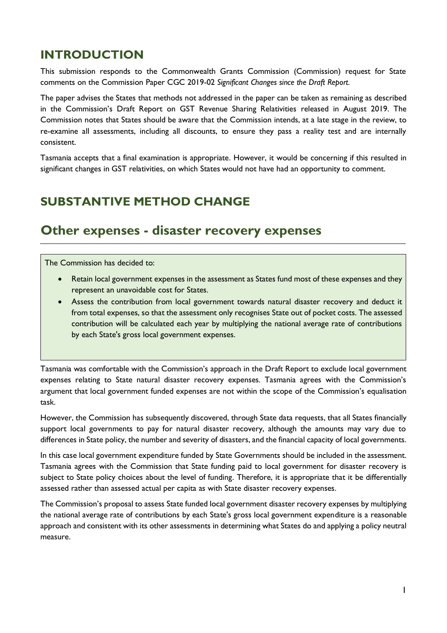### <span id="page-4-0"></span>**INTRODUCTION**

This submission responds to the Commonwealth Grants Commission (Commission) request for State comments on the Commission Paper CGC 2019-02 *Significant Changes since the Draft Report.*

The paper advises the States that methods not addressed in the paper can be taken as remaining as described in the Commission's Draft Report on GST Revenue Sharing Relativities released in August 2019. The Commission notes that States should be aware that the Commission intends, at a late stage in the review, to re-examine all assessments, including all discounts, to ensure they pass a reality test and are internally consistent.

Tasmania accepts that a final examination is appropriate. However, it would be concerning if this resulted in significant changes in GST relativities, on which States would not have had an opportunity to comment.

### <span id="page-4-1"></span>**SUBSTANTIVE METHOD CHANGE**

### <span id="page-4-2"></span>**Other expenses - disaster recovery expenses**

The Commission has decided to:

- Retain local government expenses in the assessment as States fund most of these expenses and they represent an unavoidable cost for States.
- Assess the contribution from local government towards natural disaster recovery and deduct it from total expenses, so that the assessment only recognises State out of pocket costs. The assessed contribution will be calculated each year by multiplying the national average rate of contributions by each State's gross local government expenses.

Tasmania was comfortable with the Commission's approach in the Draft Report to exclude local government expenses relating to State natural disaster recovery expenses. Tasmania agrees with the Commission's argument that local government funded expenses are not within the scope of the Commission's equalisation task.

However, the Commission has subsequently discovered, through State data requests, that all States financially support local governments to pay for natural disaster recovery, although the amounts may vary due to differences in State policy, the number and severity of disasters, and the financial capacity of local governments.

In this case local government expenditure funded by State Governments should be included in the assessment. Tasmania agrees with the Commission that State funding paid to local government for disaster recovery is subject to State policy choices about the level of funding. Therefore, it is appropriate that it be differentially assessed rather than assessed actual per capita as with State disaster recovery expenses.

The Commission's proposal to assess State funded local government disaster recovery expenses by multiplying the national average rate of contributions by each State's gross local government expenditure is a reasonable approach and consistent with its other assessments in determining what States do and applying a policy neutral measure.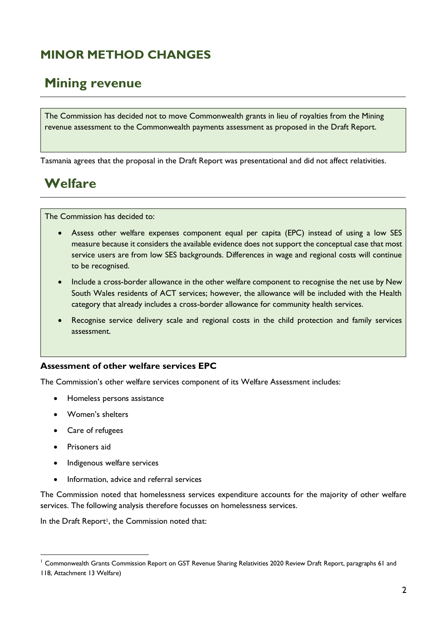## <span id="page-5-0"></span>**MINOR METHOD CHANGES**

### <span id="page-5-1"></span>**Mining revenue**

The Commission has decided not to move Commonwealth grants in lieu of royalties from the Mining revenue assessment to the Commonwealth payments assessment as proposed in the Draft Report.

Tasmania agrees that the proposal in the Draft Report was presentational and did not affect relativities.

# <span id="page-5-2"></span>**Welfare**

The Commission has decided to:

- Assess other welfare expenses component equal per capita (EPC) instead of using a low SES measure because it considers the available evidence does not support the conceptual case that most service users are from low SES backgrounds. Differences in wage and regional costs will continue to be recognised.
- Include a cross-border allowance in the other welfare component to recognise the net use by New South Wales residents of ACT services; however, the allowance will be included with the Health category that already includes a cross-border allowance for community health services.
- Recognise service delivery scale and regional costs in the child protection and family services assessment.

#### **Assessment of other welfare services EPC**

The Commission's other welfare services component of its Welfare Assessment includes:

- Homeless persons assistance
- Women's shelters
- Care of refugees
- Prisoners aid

 $\overline{a}$ 

- Indigenous welfare services
- Information, advice and referral services

The Commission noted that homelessness services expenditure accounts for the majority of other welfare services. The following analysis therefore focusses on homelessness services.

In the Draft Report<sup>1</sup>, the Commission noted that:

<sup>&</sup>lt;sup>1</sup> Commonwealth Grants Commission Report on GST Revenue Sharing Relativities 2020 Review Draft Report, paragraphs 61 and 118, Attachment 13 Welfare)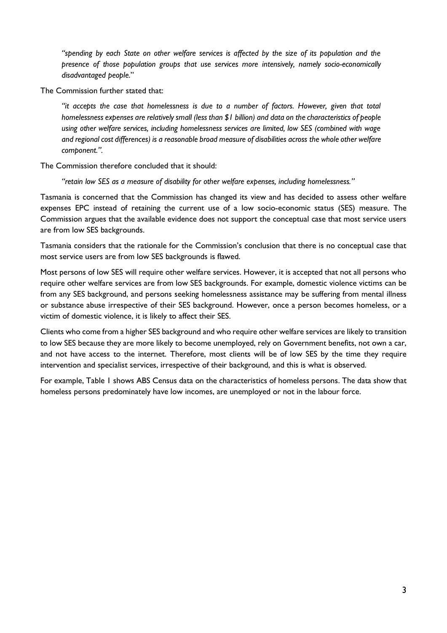*"spending by each State on other welfare services is affected by the size of its population and the presence of those population groups that use services more intensively, namely socio-economically disadvantaged people.*"

The Commission further stated that:

*"it accepts the case that homelessness is due to a number of factors. However, given that total homelessness expenses are relatively small (less than \$1 billion) and data on the characteristics of people using other welfare services, including homelessness services are limited, low SES (combined with wage and regional cost differences) is a reasonable broad measure of disabilities across the whole other welfare component.".* 

The Commission therefore concluded that it should:

*"retain low SES as a measure of disability for other welfare expenses, including homelessness."*

Tasmania is concerned that the Commission has changed its view and has decided to assess other welfare expenses EPC instead of retaining the current use of a low socio-economic status (SES) measure. The Commission argues that the available evidence does not support the conceptual case that most service users are from low SES backgrounds.

Tasmania considers that the rationale for the Commission's conclusion that there is no conceptual case that most service users are from low SES backgrounds is flawed.

Most persons of low SES will require other welfare services. However, it is accepted that not all persons who require other welfare services are from low SES backgrounds. For example, domestic violence victims can be from any SES background, and persons seeking homelessness assistance may be suffering from mental illness or substance abuse irrespective of their SES background. However, once a person becomes homeless, or a victim of domestic violence, it is likely to affect their SES.

Clients who come from a higher SES background and who require other welfare services are likely to transition to low SES because they are more likely to become unemployed, rely on Government benefits, not own a car, and not have access to the internet. Therefore, most clients will be of low SES by the time they require intervention and specialist services, irrespective of their background, and this is what is observed.

For example, Table 1 shows ABS Census data on the characteristics of homeless persons. The data show that homeless persons predominately have low incomes, are unemployed or not in the labour force.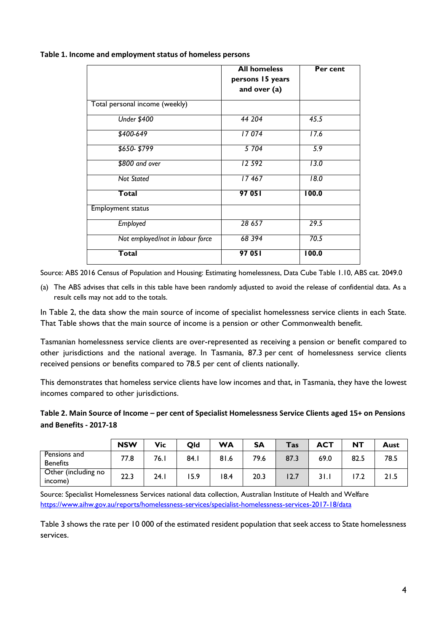**Table 1. Income and employment status of homeless persons**

|                                  | <b>All homeless</b><br>persons 15 years<br>and over (a) | Per cent |
|----------------------------------|---------------------------------------------------------|----------|
| Total personal income (weekly)   |                                                         |          |
| <b>Under \$400</b>               | 44 204                                                  | 45.5     |
| \$400-649                        | 17074                                                   | 17.6     |
| \$650-\$799                      | 5 704                                                   | 5.9      |
| \$800 and over                   | 12 592                                                  | 13.0     |
| <b>Not Stated</b>                | 17467                                                   | 18.0     |
| <b>Total</b>                     | 97 05 I                                                 | 100.0    |
| Employment status                |                                                         |          |
| Employed                         | 28 657                                                  | 29.5     |
| Not employed/not in labour force | 68 394                                                  | 70.5     |
| Total                            | 97 051                                                  | 100.0    |

Source: ABS 2016 Census of Population and Housing: Estimating homelessness, Data Cube Table 1.10, ABS cat. 2049.0

(a) The ABS advises that cells in this table have been randomly adjusted to avoid the release of confidential data. As a result cells may not add to the totals.

In Table 2, the data show the main source of income of specialist homelessness service clients in each State. That Table shows that the main source of income is a pension or other Commonwealth benefit.

Tasmanian homelessness service clients are over-represented as receiving a pension or benefit compared to other jurisdictions and the national average. In Tasmania, 87.3 per cent of homelessness service clients received pensions or benefits compared to 78.5 per cent of clients nationally.

This demonstrates that homeless service clients have low incomes and that, in Tasmania, they have the lowest incomes compared to other jurisdictions.

#### **Table 2. Main Source of Income – per cent of Specialist Homelessness Service Clients aged 15+ on Pensions and Benefits - 2017-18**

|                                 | <b>NSW</b> | Vic  | Old  | <b>WA</b> | <b>SA</b> | Tas  | <b>ACT</b> | <b>NT</b> | Aust |
|---------------------------------|------------|------|------|-----------|-----------|------|------------|-----------|------|
| Pensions and<br><b>Benefits</b> | 77.8       | 76.1 | 84.1 | 81.6      | 79.6      | 87.3 | 69.0       | 82.5      | 78.5 |
| Other (including no<br>income)  | 22.3       | 24.1 | 5.9  | 18.4      | 20.3      | 12.7 | 3 I . I    | 7.2       | 21.5 |

Source: Specialist Homelessness Services national data collection, Australian Institute of Health and Welfare <https://www.aihw.gov.au/reports/homelessness-services/specialist-homelessness-services-2017-18/data>

Table 3 shows the rate per 10 000 of the estimated resident population that seek access to State homelessness services.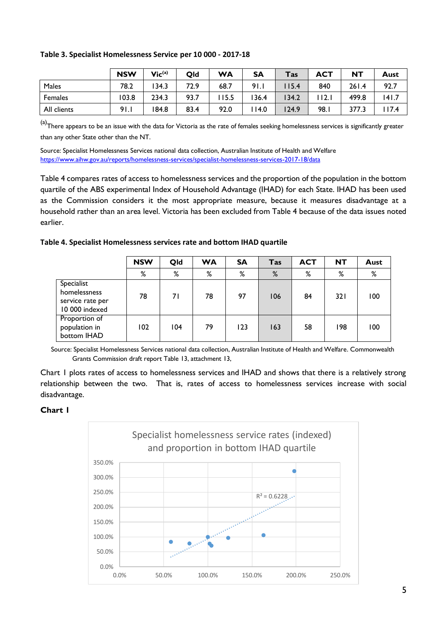| Table 3. Specialist Homelessness Service per 10 000 - 2017-18 |  |  |  |
|---------------------------------------------------------------|--|--|--|
|---------------------------------------------------------------|--|--|--|

|                | <b>NSW</b> | $Vic^{(a)}$ | Qld  | <b>WA</b> | <b>SA</b> | <b>Tas</b> | <b>ACT</b> | NΤ    | Aust  |
|----------------|------------|-------------|------|-----------|-----------|------------|------------|-------|-------|
| Males          | 78.2       | 134.3       | 72.9 | 68.7      | 91.1      | 115.4      | 840        | 261.4 | 92.7  |
| <b>Females</b> | 103.8      | 234.3       | 93.7 | 15.5      | 36.4      | 134.2      | 2.1        | 499.8 | 141.7 |
| All clients    | 91.1       | 184.8       | 83.4 | 92.0      | 14.0      | 124.9      | 98.I       | 377.3 | 17.4  |

(a)There appears to be an issue with the data for Victoria as the rate of females seeking homelessness services is significantly greater than any other State other than the NT.

Source: Specialist Homelessness Services national data collection, Australian Institute of Health and Welfare <https://www.aihw.gov.au/reports/homelessness-services/specialist-homelessness-services-2017-18/data>

Table 4 compares rates of access to homelessness services and the proportion of the population in the bottom quartile of the ABS experimental Index of Household Advantage (IHAD) for each State. IHAD has been used as the Commission considers it the most appropriate measure, because it measures disadvantage at a household rather than an area level. Victoria has been excluded from Table 4 because of the data issues noted earlier.

| Table 4. Specialist Homelessness services rate and bottom IHAD quartile |  |  |
|-------------------------------------------------------------------------|--|--|
|-------------------------------------------------------------------------|--|--|

|                                                                  | <b>NSW</b> | Qld | <b>WA</b> | <b>SA</b> | <b>Tas</b> | <b>ACT</b> | <b>NT</b> | Aust |
|------------------------------------------------------------------|------------|-----|-----------|-----------|------------|------------|-----------|------|
|                                                                  | %          | %   | %         | %         | %          | %          | %         | %    |
| Specialist<br>homelessness<br>service rate per<br>10 000 indexed | 78         | 71  | 78        | 97        | 106        | 84         | 321       | 100  |
| Proportion of<br>population in<br>bottom IHAD                    | 102        | 104 | 79        | 123       | 163        | 58         | 198       | 100  |

Source: Specialist Homelessness Services national data collection, Australian Institute of Health and Welfare. Commonwealth Grants Commission draft report Table 13, attachment 13,

Chart 1 plots rates of access to homelessness services and IHAD and shows that there is a relatively strong relationship between the two. That is, rates of access to homelessness services increase with social disadvantage.

#### **Chart 1**

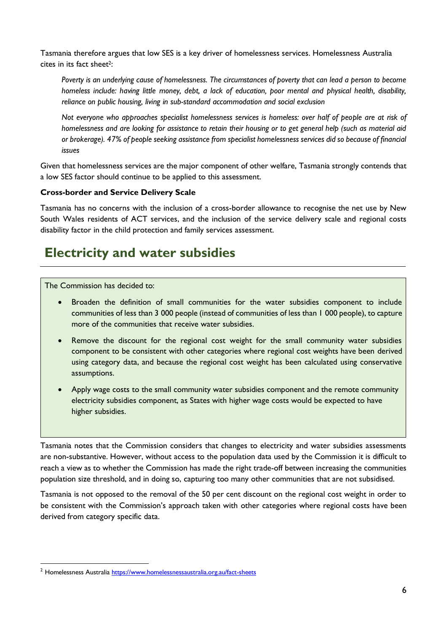Tasmania therefore argues that low SES is a key driver of homelessness services. Homelessness Australia cites in its fact sheet2:

*Poverty is an underlying cause of homelessness. The circumstances of poverty that can lead a person to become homeless include: having little money, debt, a lack of education, poor mental and physical health, disability, reliance on public housing, living in sub-standard accommodation and social exclusion*

*Not everyone who approaches specialist homelessness services is homeless: over half of people are at risk of homelessness and are looking for assistance to retain their housing or to get general help (such as material aid or brokerage). 47% of people seeking assistance from specialist homelessness services did so because of financial issues*

Given that homelessness services are the major component of other welfare, Tasmania strongly contends that a low SES factor should continue to be applied to this assessment.

#### **Cross-border and Service Delivery Scale**

Tasmania has no concerns with the inclusion of a cross-border allowance to recognise the net use by New South Wales residents of ACT services, and the inclusion of the service delivery scale and regional costs disability factor in the child protection and family services assessment.

### <span id="page-9-0"></span>**Electricity and water subsidies**

The Commission has decided to:

- Broaden the definition of small communities for the water subsidies component to include communities of less than 3 000 people (instead of communities of less than 1 000 people), to capture more of the communities that receive water subsidies.
- Remove the discount for the regional cost weight for the small community water subsidies component to be consistent with other categories where regional cost weights have been derived using category data, and because the regional cost weight has been calculated using conservative assumptions.
- Apply wage costs to the small community water subsidies component and the remote community electricity subsidies component, as States with higher wage costs would be expected to have higher subsidies.

Tasmania notes that the Commission considers that changes to electricity and water subsidies assessments are non-substantive. However, without access to the population data used by the Commission it is difficult to reach a view as to whether the Commission has made the right trade-off between increasing the communities population size threshold, and in doing so, capturing too many other communities that are not subsidised.

Tasmania is not opposed to the removal of the 50 per cent discount on the regional cost weight in order to be consistent with the Commission's approach taken with other categories where regional costs have been derived from category specific data.

 $\overline{a}$ 

<sup>&</sup>lt;sup>2</sup> Homelessness Australi[a https://www.homelessnessaustralia.org.au/fact-sheets](https://www.homelessnessaustralia.org.au/fact-sheets)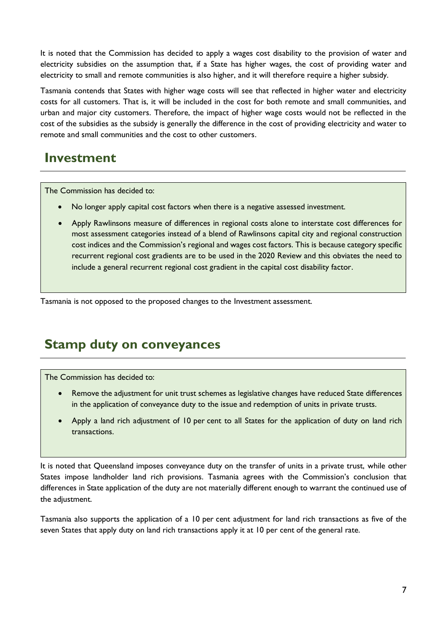It is noted that the Commission has decided to apply a wages cost disability to the provision of water and electricity subsidies on the assumption that, if a State has higher wages, the cost of providing water and electricity to small and remote communities is also higher, and it will therefore require a higher subsidy.

Tasmania contends that States with higher wage costs will see that reflected in higher water and electricity costs for all customers. That is, it will be included in the cost for both remote and small communities, and urban and major city customers. Therefore, the impact of higher wage costs would not be reflected in the cost of the subsidies as the subsidy is generally the difference in the cost of providing electricity and water to remote and small communities and the cost to other customers.

### <span id="page-10-0"></span>**Investment**

The Commission has decided to:

- No longer apply capital cost factors when there is a negative assessed investment.
- Apply Rawlinsons measure of differences in regional costs alone to interstate cost differences for most assessment categories instead of a blend of Rawlinsons capital city and regional construction cost indices and the Commission's regional and wages cost factors. This is because category specific recurrent regional cost gradients are to be used in the 2020 Review and this obviates the need to include a general recurrent regional cost gradient in the capital cost disability factor.

<span id="page-10-1"></span>Tasmania is not opposed to the proposed changes to the Investment assessment.

### **Stamp duty on conveyances**

The Commission has decided to:

- Remove the adjustment for unit trust schemes as legislative changes have reduced State differences in the application of conveyance duty to the issue and redemption of units in private trusts.
- Apply a land rich adjustment of 10 per cent to all States for the application of duty on land rich transactions.

It is noted that Queensland imposes conveyance duty on the transfer of units in a private trust, while other States impose landholder land rich provisions. Tasmania agrees with the Commission's conclusion that differences in State application of the duty are not materially different enough to warrant the continued use of the adjustment.

Tasmania also supports the application of a 10 per cent adjustment for land rich transactions as five of the seven States that apply duty on land rich transactions apply it at 10 per cent of the general rate.